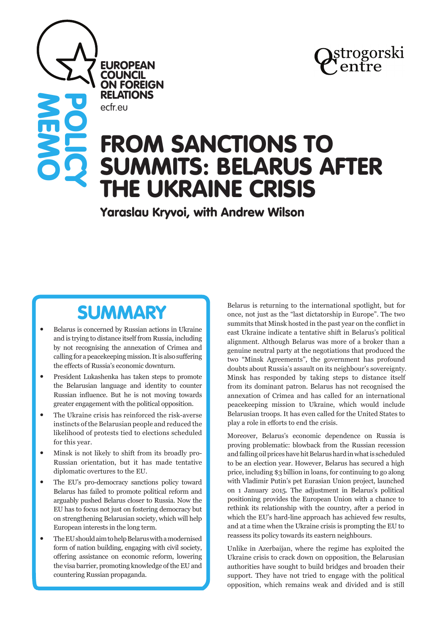

# FROM SANCTIONS TO SUMMITS: BELARUS AFTER THE UKRAINE CRISIS

Yaraslau Kryvoi, with Andrew Wilson

## **SUMMARY**

**EUROPEAN COUNCIL** ON FOREIGN RELATIONS

ecfr.eu

**MEMO** 

**POLICY** 

- Belarus is concerned by Russian actions in Ukraine and is trying to distance itself from Russia, including by not recognising the annexation of Crimea and calling for a peacekeeping mission. It is also suffering the effects of Russia's economic downturn.
- President Lukashenka has taken steps to promote the Belarusian language and identity to counter Russian influence. But he is not moving towards greater engagement with the political opposition.
- The Ukraine crisis has reinforced the risk-averse instincts of the Belarusian people and reduced the likelihood of protests tied to elections scheduled for this year.
- Minsk is not likely to shift from its broadly pro-Russian orientation, but it has made tentative diplomatic overtures to the EU.
- The EU's pro-democracy sanctions policy toward Belarus has failed to promote political reform and arguably pushed Belarus closer to Russia. Now the EU has to focus not just on fostering democracy but on strengthening Belarusian society, which will help European interests in the long term.
- The EU should aim to help Belarus with a modernised form of nation building, engaging with civil society, offering assistance on economic reform, lowering the visa barrier, promoting knowledge of the EU and countering Russian propaganda.

Belarus is returning to the international spotlight, but for once, not just as the "last dictatorship in Europe". The two summits that Minsk hosted in the past year on the conflict in east Ukraine indicate a tentative shift in Belarus's political alignment. Although Belarus was more of a broker than a genuine neutral party at the negotiations that produced the two "Minsk Agreements", the government has profound doubts about Russia's assault on its neighbour's sovereignty. Minsk has responded by taking steps to distance itself from its dominant patron. Belarus has not recognised the annexation of Crimea and has called for an international peacekeeping mission to Ukraine, which would include Belarusian troops. It has even called for the United States to play a role in efforts to end the crisis.

Moreover, Belarus's economic dependence on Russia is proving problematic: blowback from the Russian recession and falling oil prices have hit Belarus hard in what is scheduled to be an election year. However, Belarus has secured a high price, including \$3 billion in loans, for continuing to go along with Vladimir Putin's pet Eurasian Union project, launched on 1 January 2015. The adjustment in Belarus's political positioning provides the European Union with a chance to rethink its relationship with the country, after a period in which the EU's hard-line approach has achieved few results, and at a time when the Ukraine crisis is prompting the EU to reassess its policy towards its eastern neighbours.

Unlike in Azerbaijan, where the regime has exploited the Ukraine crisis to crack down on opposition, the Belarusian authorities have sought to build bridges and broaden their support. They have not tried to engage with the political opposition, which remains weak and divided and is still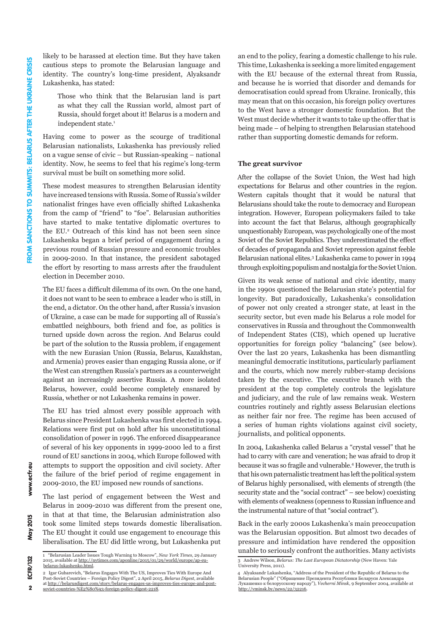likely to be harassed at election time. But they have taken cautious steps to promote the Belarusian language and identity. The country's long-time president, Alyaksandr Lukashenka, has stated:

Those who think that the Belarusian land is part as what they call the Russian world, almost part of Russia, should forget about it! Belarus is a modern and independent state.<sup>1</sup>

Having come to power as the scourge of traditional Belarusian nationalists, Lukashenka has previously relied on a vague sense of civic – but Russian-speaking – national identity. Now, he seems to feel that his regime's long-term survival must be built on something more solid.

These modest measures to strengthen Belarusian identity have increased tensions with Russia. Some of Russia's wilder nationalist fringes have even officially shifted Lukashenka from the camp of "friend" to "foe". Belarusian authorities have started to make tentative diplomatic overtures to the EU.2 Outreach of this kind has not been seen since Lukashenka began a brief period of engagement during a previous round of Russian pressure and economic troubles in 2009-2010. In that instance, the president sabotaged the effort by resorting to mass arrests after the fraudulent election in December 2010.

The EU faces a difficult dilemma of its own. On the one hand, it does not want to be seen to embrace a leader who is still, in the end, a dictator. On the other hand, after Russia's invasion of Ukraine, a case can be made for supporting all of Russia's embattled neighbours, both friend and foe, as politics is turned upside down across the region. And Belarus could be part of the solution to the Russia problem, if engagement with the new Eurasian Union (Russia, Belarus, Kazakhstan, and Armenia) proves easier than engaging Russia alone, or if the West can strengthen Russia's partners as a counterweight against an increasingly assertive Russia. A more isolated Belarus, however, could become completely ensnared by Russia, whether or not Lukashenka remains in power.

The EU has tried almost every possible approach with Belarus since President Lukashenka was first elected in 1994. Relations were first put on hold after his unconstitutional consolidation of power in 1996. The enforced disappearance of several of his key opponents in 1999-2000 led to a first round of EU sanctions in 2004, which Europe followed with attempts to support the opposition and civil society. After the failure of the brief period of regime engagement in 2009-2010, the EU imposed new rounds of sanctions.

The last period of engagement between the West and Belarus in 2009-2010 was different from the present one, in that at that time, the Belarusian administration also took some limited steps towards domestic liberalisation. The EU thought it could use engagement to encourage this liberalisation. The EU did little wrong, but Lukashenka put

an end to the policy, fearing a domestic challenge to his rule. This time, Lukashenka is seeking a more limited engagement with the EU because of the external threat from Russia, and because he is worried that disorder and demands for democratisation could spread from Ukraine. Ironically, this may mean that on this occasion, his foreign policy overtures to the West have a stronger domestic foundation. But the West must decide whether it wants to take up the offer that is being made – of helping to strengthen Belarusian statehood rather than supporting domestic demands for reform.

#### **The great survivor**

After the collapse of the Soviet Union, the West had high expectations for Belarus and other countries in the region. Western capitals thought that it would be natural that Belarusians should take the route to democracy and European integration. However, European policymakers failed to take into account the fact that Belarus, although geographically unquestionably European, was psychologically one of the most Soviet of the Soviet Republics. They underestimated the effect of decades of propaganda and Soviet repression against feeble Belarusian national elites.3 Lukashenka came to power in 1994 through exploiting populism and nostalgia for the Soviet Union.

Given its weak sense of national and civic identity, many in the 1990s questioned the Belarusian state's potential for longevity. But paradoxically, Lukashenka's consolidation of power not only created a stronger state, at least in the security sector, but even made his Belarus a role model for conservatives in Russia and throughout the Commonwealth of Independent States (CIS), which opened up lucrative opportunities for foreign policy "balancing" (see below). Over the last 20 years, Lukashenka has been dismantling meaningful democratic institutions, particularly parliament and the courts, which now merely rubber-stamp decisions taken by the executive. The executive branch with the president at the top completely controls the legislature and judiciary, and the rule of law remains weak. Western countries routinely and rightly assess Belarusian elections as neither fair nor free. The regime has been accused of a series of human rights violations against civil society, journalists, and political opponents.

In 2004, Lukashenka called Belarus a "crystal vessel" that he had to carry with care and veneration; he was afraid to drop it because it was so fragile and vulnerable.4 However, the truth is that his own paternalistic treatment has left the political system of Belarus highly personalised, with elements of strength (the security state and the "social contract" – see below) coexisting with elements of weakness (openness to Russian influence and the instrumental nature of that "social contract").

Back in the early 2000s Lukashenka's main preoccupation was the Belarusian opposition. But almost two decades of pressure and intimidation have rendered the opposition unable to seriously confront the authorities. Many activists

**May 2015** 

www.ecfr.eu

<sup>1 &</sup>quot;Belarusian Leader Issues Tough Warning to Moscow", *New York Times*, 29 January 2015, available at http://[nytimes.com/aponline/2015/01/29/world/europe/ap-eu](http://www.nytimes.com/aponline/2015/01/29/world/europe/ap-eu-belarus-lukashenko.html)[belarus-lukashenko.html.](http://www.nytimes.com/aponline/2015/01/29/world/europe/ap-eu-belarus-lukashenko.html)

<sup>2</sup> Igar Gubarevich, "Belarus Engages With The US, Improves Ties With Europe And

Post-Soviet Countries – Foreign Policy Digest", 2 April 2015, *Belarus Digest*, available at [http://belarusdigest.com/story/belarus-engages-us-improves-ties-europe-and-post-](http://belarusdigest.com/story/belarus-engages-us-improves-ties-europe-and-post-soviet-countries-%E2%80%93-foreign-policy-digest-2218)[soviet-countries-%E2%80%93-foreign-policy-digest-2218](http://belarusdigest.com/story/belarus-engages-us-improves-ties-europe-and-post-soviet-countries-%E2%80%93-foreign-policy-digest-2218).

<sup>3</sup> Andrew Wilson, *Belarus: The Last European Dictatorship* (New Haven: Yale University Press, 2011).

<sup>4</sup> Alyaksandr Lukashenka, "Address of the President of the Republic of Belarus to the Belarusian People" ("Обращение Президента Республики Беларуси Александра Лукашенко к белорусскому народу"), *Vecherni Minsk*, 9 September 2004, available at <http://vminsk.by/news/22/32216>.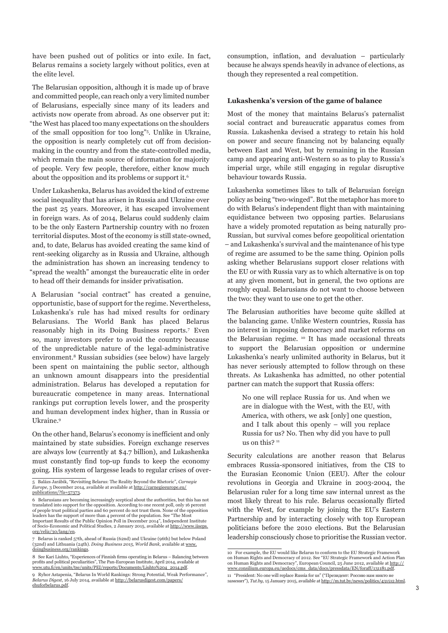have been pushed out of politics or into exile. In fact, Belarus remains a society largely without politics, even at the elite level.

The Belarusian opposition, although it is made up of brave and committed people, can reach only a very limited number of Belarusians, especially since many of its leaders and activists now operate from abroad. As one observer put it: "the West has placed too many expectations on the shoulders of the small opposition for too long"5 . Unlike in Ukraine, the opposition is nearly completely cut off from decisionmaking in the country and from the state-controlled media, which remain the main source of information for majority of people. Very few people, therefore, either know much about the opposition and its problems or support it.6

Under Lukashenka, Belarus has avoided the kind of extreme social inequality that has arisen in Russia and Ukraine over the past 25 years. Moreover, it has escaped involvement in foreign wars. As of 2014, Belarus could suddenly claim to be the only Eastern Partnership country with no frozen territorial disputes. Most of the economy is still state-owned, and, to date, Belarus has avoided creating the same kind of rent-seeking oligarchy as in Russia and Ukraine, although the administration has shown an increasing tendency to "spread the wealth" amongst the bureaucratic elite in order to head off their demands for insider privatisation.

A Belarusian "social contract" has created a genuine, opportunistic, base of support for the regime. Nevertheless, Lukashenka's rule has had mixed results for ordinary Belarusians. The World Bank has placed Belarus reasonably high in its Doing Business reports.7 Even so, many investors prefer to avoid the country because of the unpredictable nature of the legal-administrative environment.8 Russian subsidies (see below) have largely been spent on maintaining the public sector, although an unknown amount disappears into the presidential administration. Belarus has developed a reputation for bureaucratic competence in many areas. International rankings put corruption levels lower, and the prosperity and human development index higher, than in Russia or Ukraine.9

On the other hand, Belarus's economy is inefficient and only maintained by state subsidies. Foreign exchange reserves are always low (currently at \$4.7 billion), and Lukashenka must constantly find top-up funds to keep the economy going. His system of largesse leads to regular crises of overconsumption, inflation, and devaluation – particularly because he always spends heavily in advance of elections, as though they represented a real competition.

#### **Lukashenka's version of the game of balance**

Most of the money that maintains Belarus's paternalist social contract and bureaucratic apparatus comes from Russia. Lukashenka devised a strategy to retain his hold on power and secure financing not by balancing equally between East and West, but by remaining in the Russian camp and appearing anti-Western so as to play to Russia's imperial urge, while still engaging in regular disruptive behaviour towards Russia.

Lukashenka sometimes likes to talk of Belarusian foreign policy as being "two-winged". But the metaphor has more to do with Belarus's independent flight than with maintaining equidistance between two opposing parties. Belarusians have a widely promoted reputation as being naturally pro-Russian, but survival comes before geopolitical orientation – and Lukashenka's survival and the maintenance of his type of regime are assumed to be the same thing. Opinion polls asking whether Belarusians support closer relations with the EU or with Russia vary as to which alternative is on top at any given moment, but in general, the two options are roughly equal. Belarusians do not want to choose between the two: they want to use one to get the other.

The Belarusian authorities have become quite skilled at the balancing game. Unlike Western countries, Russia has no interest in imposing democracy and market reforms on the Belarusian regime. 10 It has made occasional threats to support the Belarusian opposition or undermine Lukashenka's nearly unlimited authority in Belarus, but it has never seriously attempted to follow through on these threats. As Lukashenka has admitted, no other potential partner can match the support that Russia offers:

No one will replace Russia for us. And when we are in dialogue with the West, with the EU, with America, with others, we ask [only] one question, and I talk about this openly – will you replace Russia for us? No. Then why did you have to pull us on this? <sup>11</sup>

Security calculations are another reason that Belarus embraces Russia-sponsored initiatives, from the CIS to the Eurasian Economic Union (EEU). After the colour revolutions in Georgia and Ukraine in 2003-2004, the Belarusian ruler for a long time saw internal unrest as the most likely threat to his rule. Belarus occasionally flirted with the West, for example by joining the EU's Eastern Partnership and by interacting closely with top European politicians before the 2010 elections. But the Belarusian leadership consciously chose to prioritise the Russian vector.

<sup>5</sup> Balázs Jarábik, "Revisiting Belarus: The Reality Beyond the Rhetoric", *Carnegie Europe*, 3 December 2014, available at available at [http://carnegieeurope.eu/](http://carnegieeurope.eu/publications/?fa=57373) [publications/?fa=57373](http://carnegieeurope.eu/publications/?fa=57373).

<sup>6</sup> Belarusians are becoming increasingly sceptical about the authorities, but this has not translated into support for the opposition. According to one recent poll, only 16 percent of people trust political parties and 60 percent do not trust them. None of the opposition leaders has the support of more than 4 percent of the population. See "The Most Important Results of the Public Opinion Poll in December 2014", Independent Institute of Socio-Economic and Political Studies, 2 January 2015, available at [http://www.iiseps.](http://www.iiseps.org/reliz/30/lang/en) [org/reliz/30/lang/en](http://www.iiseps.org/reliz/30/lang/en).

<sup>7</sup> Belarus is ranked 57th, ahead of Russia (62nd) and Ukraine (96th) but below Poland (32nd) and Lithuania (24th). *Doing Business 2015, World Bank*, available at [www.](http://www.doingbusiness.org/rankings) [doingbusiness.org/rankings](http://www.doingbusiness.org/rankings).

<sup>8</sup> See Kari Liuhto, "Experiences of Finnish firms operating in Belarus – Balancing between profits and political peculiarities", The Pan-European Institute, April 2014, available at [www.utu.fi/en/units/tse/units/PEI/reports/Documents/Liuhto%204\\_2014.pdf](http://www.utu.fi/en/units/tse/units/PEI/reports/Documents/Liuhto%204_2014.pdf).

<sup>9</sup> Ryhor Astapenia, "Belarus In World Rankings: Strong Potential, Weak Performance", *Belarus Digest*, 16 July 2014, available at [http://belarusdigest.com/papers/](http://belarusdigest.com/papers/ehuforbelarus.pdf) [ehuforbelarus.pdf](http://belarusdigest.com/papers/ehuforbelarus.pdf).

<sup>10</sup> For example, the EU would like Belarus to conform to the EU Strategic Framework on Human Rights and Democracy of 2012. See "EU Strategic Framework and Action Plan on Human Rights and Democracy", European Council, 25 June 2012, available at [http://](http://www.consilium.europa.eu/uedocs/cms_data/docs/pressdata/EN/foraff/131181.pdf) [www.consilium.europa.eu/uedocs/cms\\_data/docs/pressdata/EN/foraff/131181.pdf](http://www.consilium.europa.eu/uedocs/cms_data/docs/pressdata/EN/foraff/131181.pdf).

<sup>11 &</sup>quot;President: No one will replace Russia for us" ("Президент: Россию нам никто не заменит"), *Tut.by*, 15 January 2015, available at<http://m.tut.by/news/politics/431512.html>.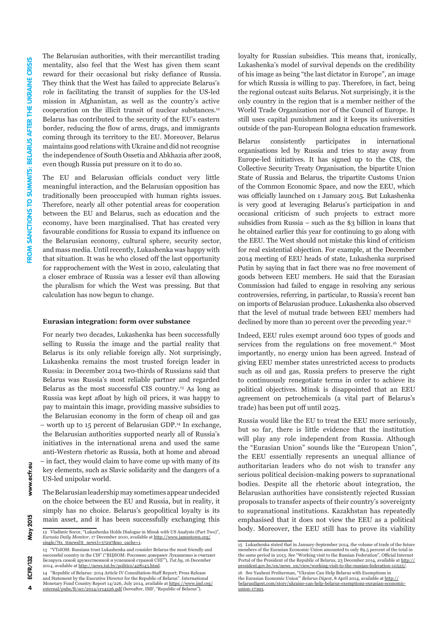The Belarusian authorities, with their mercantilist trading mentality, also feel that the West has given them scant reward for their occasional but risky defiance of Russia. They think that the West has failed to appreciate Belarus's role in facilitating the transit of supplies for the US-led mission in Afghanistan, as well as the country's active cooperation on the illicit transit of nuclear substances.12 Belarus has contributed to the security of the EU's eastern border, reducing the flow of arms, drugs, and immigrants coming through its territory to the EU. Moreover, Belarus maintains good relations with Ukraine and did not recognise the independence of South Ossetia and Abkhazia after 2008, even though Russia put pressure on it to do so.

The EU and Belarusian officials conduct very little meaningful interaction, and the Belarusian opposition has traditionally been preoccupied with human rights issues. Therefore, nearly all other potential areas for cooperation between the EU and Belarus, such as education and the economy, have been marginalised. That has created very favourable conditions for Russia to expand its influence on the Belarusian economy, cultural sphere, security sector, and mass media. Until recently, Lukashenka was happy with that situation. It was he who closed off the last opportunity for rapprochement with the West in 2010, calculating that a closer embrace of Russia was a lesser evil than allowing the pluralism for which the West was pressing. But that calculation has now begun to change.

#### **Eurasian integration: form over substance**

For nearly two decades, Lukashenka has been successfully selling to Russia the image and the partial reality that Belarus is its only reliable foreign ally. Not surprisingly, Lukashenka remains the most trusted foreign leader in Russia: in December 2014 two-thirds of Russians said that Belarus was Russia's most reliable partner and regarded Belarus as the most successful CIS country.13 As long as Russia was kept afloat by high oil prices, it was happy to pay to maintain this image, providing massive subsidies to the Belarusian economy in the form of cheap oil and gas – worth up to 15 percent of Belarusian GDP.14 In exchange, the Belarusian authorities supported nearly all of Russia's initiatives in the international arena and used the same anti-Western rhetoric as Russia, both at home and abroad – in fact, they would claim to have come up with many of its key elements, such as Slavic solidarity and the dangers of a US-led unipolar world.

The Belarusian leadership may sometimes appear undecided on the choice between the EU and Russia, but in reality, it simply has no choice. Belarus's geopolitical loyalty is its main asset, and it has been successfully exchanging this loyalty for Russian subsidies. This means that, ironically, Lukashenka's model of survival depends on the credibility of his image as being "the last dictator in Europe", an image for which Russia is willing to pay. Therefore, in fact, being the regional outcast suits Belarus. Not surprisingly, it is the only country in the region that is a member neither of the World Trade Organization nor of the Council of Europe. It still uses capital punishment and it keeps its universities outside of the pan-European Bologna education framework.

Belarus consistently participates in international organisations led by Russia and tries to stay away from Europe-led initiatives. It has signed up to the CIS, the Collective Security Treaty Organisation, the bipartite Union State of Russia and Belarus, the tripartite Customs Union of the Common Economic Space, and now the EEU, which was officially launched on 1 January 2015. But Lukashenka is very good at leveraging Belarus's participation in and occasional criticism of such projects to extract more subsidies from Russia – such as the \$3 billion in loans that he obtained earlier this year for continuing to go along with the EEU. The West should not mistake this kind of criticism for real existential objection. For example, at the December 2014 meeting of EEU heads of state, Lukashenka surprised Putin by saying that in fact there was no free movement of goods between EEU members. He said that the Eurasian Commission had failed to engage in resolving any serious controversies, referring, in particular, to Russia's recent ban on imports of Belarusian produce. Lukashenka also observed that the level of mutual trade between EEU members had declined by more than 10 percent over the preceding year.<sup>15</sup>

Indeed, EEU rules exempt around 600 types of goods and services from the regulations on free movement.<sup>16</sup> Most importantly, no energy union has been agreed. Instead of giving EEU member states unrestricted access to products such as oil and gas, Russia prefers to preserve the right to continuously renegotiate terms in order to achieve its political objectives. Minsk is disappointed that an EEU agreement on petrochemicals (a vital part of Belarus's trade) has been put off until 2025.

Russia would like the EU to treat the EEU more seriously, but so far, there is little evidence that the institution will play any role independent from Russia. Although the "Eurasian Union" sounds like the "European Union", the EEU essentially represents an unequal alliance of authoritarian leaders who do not wish to transfer any serious political decision-making powers to supranational bodies. Despite all the rhetoric about integration, the Belarusian authorities have consistently rejected Russian proposals to transfer aspects of their country's sovereignty to supranational institutions. Kazakhstan has repeatedly emphasised that it does not view the EEU as a political body. Moreover, the EEU still has to prove its viability

 $\Delta$ 

www.ecfr.eu

<sup>12</sup> Vladimir Socor, "Lukashenka Holds Dialogue in Minsk with US Analysts (Part Two)", *Eurasia Daily Monitor*, 17 December 2010, available at [http://www.jamestown.org/](http://www.jamestown.org/single/?tx_ttnews[tt_news]=37297&no_cache=1) [single/?tx\\_ttnews\[tt\\_news\]=37297&no\\_cache=1](http://www.jamestown.org/single/?tx_ttnews[tt_news]=37297&no_cache=1).

<sup>13 &</sup>quot;VTsIOM: Russians trust Lukashenka and consider Belarus the most friendly and successful country in the CIS" ("ВЦИОМ: Россияне доверяют Лукашенко и считают Беларусь самой дружественной и успешной страной СНГ"), *Tut.by*, 16 December 2014, available at<http://news.tut.by/politics/428143.html>.

<sup>14 &</sup>quot;Republic of Belarus: 2014 Article IV Consultation-Staff Report; Press Release and Statement by the Executive Director for the Republic of Belarus". International Monetary Fund Country Report 14/226, July 2014, available at <u>https://www.imf.org</u>/<br><u>external/pubs/ft/scr/2014/cr14226.pdf</u> (hereafter, IMF, "Republic of Belarus").

<sup>15</sup> Lukashenka stated that in January-September 2014, the volume of trade of the future members of the Eurasian Economic Union amounted to only 89.5 percent of the total in the same period in 2013. See "Working visit to the Russian Federation", Official Internet Portal of the President of the Republic of Belarus, 23 December 2014, available at [http://](http://president.gov.by/en/news_en/view/working-visit-to-the-russian-federation-10525/) [president.gov.by/en/news\\_en/view/working-visit-to-the-russian-federation-10525/](http://president.gov.by/en/news_en/view/working-visit-to-the-russian-federation-10525/).

<sup>16</sup> See Yauheni Preiherman, "Ukraine Can Help Belarus with Exemptions in the Eurasian Economic Union'" *Belarus Digest*, 8 April 2014, available at [http://](http://belarusdigest.com/story/ukraine-can-help-belarus-exemptions-eurasian-economic-union-17393) belarusdigest.com/story/ukraine-can-help-belarus [union-17393](http://belarusdigest.com/story/ukraine-can-help-belarus-exemptions-eurasian-economic-union-17393).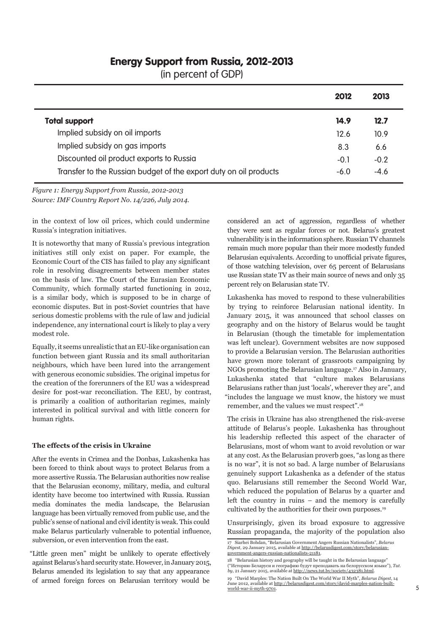### Energy Support from Russia, 2012-2013

(in percent of GDP)

|                                                                   | 2012   | 2013   |
|-------------------------------------------------------------------|--------|--------|
| <b>Total support</b>                                              | 14.9   | 12.7   |
| Implied subsidy on oil imports                                    | 12.6   | 10.9   |
| Implied subsidy on gas imports                                    | 8.3    | 6.6    |
| Discounted oil product exports to Russia                          | $-0.1$ | $-0.2$ |
| Transfer to the Russian budget of the export duty on oil products | $-6.0$ | $-4.6$ |

*Figure 1: Energy Support from Russia, 2012-2013 Source: IMF Country Report No. 14/226, July 2014.*

in the context of low oil prices, which could undermine Russia's integration initiatives.

It is noteworthy that many of Russia's previous integration initiatives still only exist on paper. For example, the Economic Court of the CIS has failed to play any significant role in resolving disagreements between member states on the basis of law. The Court of the Eurasian Economic Community, which formally started functioning in 2012, is a similar body, which is supposed to be in charge of economic disputes. But in post-Soviet countries that have serious domestic problems with the rule of law and judicial independence, any international court is likely to play a very modest role.

Equally, it seems unrealistic that an EU-like organisation can function between giant Russia and its small authoritarian neighbours, which have been lured into the arrangement with generous economic subsidies. The original impetus for the creation of the forerunners of the EU was a widespread desire for post-war reconciliation. The EEU, by contrast, is primarily a coalition of authoritarian regimes, mainly interested in political survival and with little concern for human rights.

#### **The effects of the crisis in Ukraine**

After the events in Crimea and the Donbas, Lukashenka has been forced to think about ways to protect Belarus from a more assertive Russia. The Belarusian authorities now realise that the Belarusian economy, military, media, and cultural identity have become too intertwined with Russia. Russian media dominates the media landscape, the Belarusian language has been virtually removed from public use, and the public's sense of national and civil identity is weak. This could make Belarus particularly vulnerable to potential influence, subversion, or even intervention from the east.

"Little green men" might be unlikely to operate effectively against Belarus's hard security state. However, in January 2015, Belarus amended its legislation to say that any appearance of armed foreign forces on Belarusian territory would be

considered an act of aggression, regardless of whether they were sent as regular forces or not. Belarus's greatest vulnerability is in the information sphere. Russian TV channels remain much more popular than their more modestly funded Belarusian equivalents. According to unofficial private figures, of those watching television, over 65 percent of Belarusians use Russian state TV as their main source of news and only 35 percent rely on Belarusian state TV.

Lukashenka has moved to respond to these vulnerabilities by trying to reinforce Belarusian national identity. In January 2015, it was announced that school classes on geography and on the history of Belarus would be taught in Belarusian (though the timetable for implementation was left unclear). Government websites are now supposed to provide a Belarusian version. The Belarusian authorities have grown more tolerant of grassroots campaigning by NGOs promoting the Belarusian language.17 Also in January, Lukashenka stated that "culture makes Belarusians Belarusians rather than just 'locals', wherever they are", and "includes the language we must know, the history we must remember, and the values we must respect".18

The crisis in Ukraine has also strengthened the risk-averse attitude of Belarus's people. Lukashenka has throughout his leadership reflected this aspect of the character of Belarusians, most of whom want to avoid revolution or war at any cost. As the Belarusian proverb goes, "as long as there is no war", it is not so bad. A large number of Belarusians genuinely support Lukashenka as a defender of the status quo. Belarusians still remember the Second World War, which reduced the population of Belarus by a quarter and left the country in ruins – and the memory is carefully cultivated by the authorities for their own purposes.19

Unsurprisingly, given its broad exposure to aggressive Russian propaganda, the majority of the population also

<sup>17</sup> Siarhei Bohdan, "Belarusian Government Angers Russian Nationalists", *Belarus Digest*, 29 January 2015, available at [http://belarusdigest.com/story/belarusian](http://belarusdigest.com/story/belarusian-government-angers-russian-nationalists-21181)[government-angers-russian-nationalists-21181.](http://belarusdigest.com/story/belarusian-government-angers-russian-nationalists-21181)

<sup>18 &</sup>quot;Belarusian history and geography will be taught in the Belarusian language" ("Историю Беларуси и географию будут преподавать на белорусском языке"), *Tut. by*, 21 January 2015, available at [http://news.tut.by/society/432381.html.](http://news.tut.by/society/432381.html)

<sup>19 &</sup>quot;David Marples: The Nation Built On The World War II Myth", *Belarus Digest*, 14 June 2012, available at [http://belarusdigest.com/story/david-marples-nation-built](http://belarusdigest.com/story/david-marples-nation-built-world-war-ii-myth-9701)[world-war-ii-myth-9701.](http://belarusdigest.com/story/david-marples-nation-built-world-war-ii-myth-9701)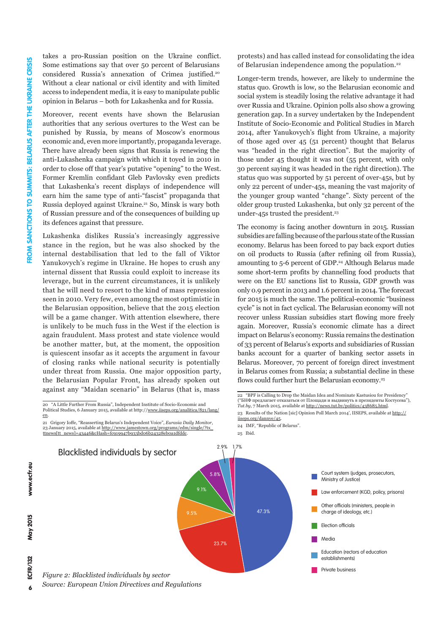takes a pro-Russian position on the Ukraine conflict. Some estimations say that over 50 percent of Belarusians considered Russia's annexation of Crimea justified.20 Without a clear national or civil identity and with limited access to independent media, it is easy to manipulate public opinion in Belarus – both for Lukashenka and for Russia.

Moreover, recent events have shown the Belarusian authorities that any serious overtures to the West can be punished by Russia, by means of Moscow's enormous economic and, even more importantly, propaganda leverage. There have already been signs that Russia is renewing the anti-Lukashenka campaign with which it toyed in 2010 in order to close off that year's putative "opening" to the West. Former Kremlin confidant Gleb Pavlovsky even predicts that Lukashenka's recent displays of independence will earn him the same type of anti-"fascist" propaganda that Russia deployed against Ukraine.21 So, Minsk is wary both of Russian pressure and of the consequences of building up its defences against that pressure.

Lukashenka dislikes Russia's increasingly aggressive stance in the region, but he was also shocked by the internal destabilisation that led to the fall of Viktor Yanukovych's regime in Ukraine. He hopes to crush any internal dissent that Russia could exploit to increase its leverage, but in the current circumstances, it is unlikely that he will need to resort to the kind of mass repression seen in 2010. Very few, even among the most optimistic in the Belarusian opposition, believe that the 2015 election will be a game changer. With attention elsewhere, there is unlikely to be much fuss in the West if the election is again fraudulent. Mass protest and state violence would be another matter, but, at the moment, the opposition is quiescent insofar as it accepts the argument in favour of closing ranks while national security is potentially under threat from Russia. One major opposition party, the Belarusian Popular Front, has already spoken out against any "Maidan scenario" in Belarus (that is, mass

20 "A Little Further From Russia", Independent Institute of Socio-Economic and<br>Political Studies, 6 January 2015, available at http://<u>www.iiseps.org/analitica/821/lang</u>/ [en](http://www.iiseps.org/analitica/821/lang/en).

21 Grigory Ioffe, "Reasserting Belarus's Independent Voice", *Eurasia Daily Monitor*, 21 Grigory Ione, Reasserung beiarus s Independent voice, *Eurusia Datiy Monitor*,<br>23 January 2015, available at <u>[http://www.jamestown.org/programs/edm/single/?tx\\_](http://www.jamestown.org/programs/edm/single/?tx_ttnews[tt_news]=43446&cHash=fc919947b933bd06b24328eb0a1dfddc)</u> [ttnews\[tt\\_news\]=43446&cHash=fc919947b933bd06b24328eb0a1dfddc](http://www.jamestown.org/programs/edm/single/?tx_ttnews[tt_news]=43446&cHash=fc919947b933bd06b24328eb0a1dfddc).

protests) and has called instead for consolidating the idea of Belarusian independence among the population.22

Longer-term trends, however, are likely to undermine the status quo. Growth is low, so the Belarusian economic and social system is steadily losing the relative advantage it had over Russia and Ukraine. Opinion polls also show a growing generation gap. In a survey undertaken by the Independent Institute of Socio-Economic and Political Studies in March 2014, after Yanukovych's flight from Ukraine, a majority of those aged over 45 (51 percent) thought that Belarus was "headed in the right direction". But the majority of those under 45 thought it was not (55 percent, with only 30 percent saying it was headed in the right direction). The status quo was supported by 51 percent of over-45s, but by only 22 percent of under-45s, meaning the vast majority of the younger group wanted "change". Sixty percent of the older group trusted Lukashenka, but only 32 percent of the under-45s trusted the president.<sup>23</sup>

The economy is facing another downturn in 2015. Russian subsidies are falling because of the parlous state of the Russian economy. Belarus has been forced to pay back export duties on oil products to Russia (after refining oil from Russia), amounting to 5-6 percent of GDP.<sup>24</sup> Although Belarus made some short-term profits by channelling food products that were on the EU sanctions list to Russia, GDP growth was only 0.9 percent in 2013 and 1.6 percent in 2014. The forecast for 2015 is much the same. The political-economic "business cycle" is not in fact cyclical. The Belarusian economy will not recover unless Russian subsidies start flowing more freely again. Moreover, Russia's economic climate has a direct impact on Belarus's economy: Russia remains the destination of 33 percent of Belarus's exports and subsidiaries of Russian banks account for a quarter of banking sector assets in Belarus. Moreover, 70 percent of foreign direct investment in Belarus comes from Russia; a substantial decline in these flows could further hurt the Belarusian economy.<sup>25</sup>

25 Ibid.



*Source: European Union Directives and Regulations*

www.ecfr.eu

**May 2015** 

<sup>22 &</sup>quot;BPF is Calling to Drop the Maidan Idea and Nominate Kastusiou for Presidency ("БНФ предлагает отказаться от Площади и выдвинуть в президенты Костусева"), *Tut.by*, 7 March 2015, available at <http://news.tut.by/politics/438685.html>.

<sup>23</sup> Results of the Nation [sic] Opinion Poll March 2014', IISEPS, available at [http://](http://iiseps.org/dannye/45) [iiseps.org/dannye/45.](http://iiseps.org/dannye/45)

<sup>24</sup> IMF, "Republic of Belarus".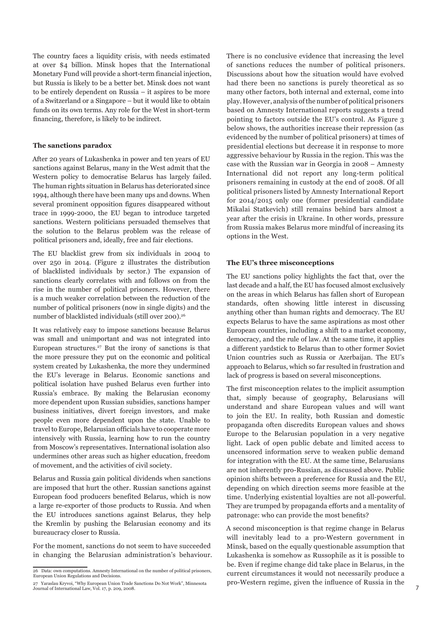The country faces a liquidity crisis, with needs estimated at over \$4 billion. Minsk hopes that the International Monetary Fund will provide a short-term financial injection, but Russia is likely to be a better bet. Minsk does not want to be entirely dependent on Russia – it aspires to be more of a Switzerland or a Singapore – but it would like to obtain funds on its own terms. Any role for the West in short-term financing, therefore, is likely to be indirect.

#### **The sanctions paradox**

After 20 years of Lukashenka in power and ten years of EU sanctions against Belarus, many in the West admit that the Western policy to democratise Belarus has largely failed. The human rights situation in Belarus has deteriorated since 1994, although there have been many ups and downs. When several prominent opposition figures disappeared without trace in 1999-2000, the EU began to introduce targeted sanctions. Western politicians persuaded themselves that the solution to the Belarus problem was the release of political prisoners and, ideally, free and fair elections.

The EU blacklist grew from six individuals in 2004 to over 250 in 2014. (Figure 2 illustrates the distribution of blacklisted individuals by sector.) The expansion of sanctions clearly correlates with and follows on from the rise in the number of political prisoners. However, there is a much weaker correlation between the reduction of the number of political prisoners (now in single digits) and the number of blacklisted individuals (still over 200).<sup>26</sup>

It was relatively easy to impose sanctions because Belarus was small and unimportant and was not integrated into European structures.27 But the irony of sanctions is that the more pressure they put on the economic and political system created by Lukashenka, the more they undermined the EU's leverage in Belarus. Economic sanctions and political isolation have pushed Belarus even further into Russia's embrace. By making the Belarusian economy more dependent upon Russian subsidies, sanctions hamper business initiatives, divert foreign investors, and make people even more dependent upon the state. Unable to travel to Europe, Belarusian officials have to cooperate more intensively with Russia, learning how to run the country from Moscow's representatives. International isolation also undermines other areas such as higher education, freedom of movement, and the activities of civil society.

Belarus and Russia gain political dividends when sanctions are imposed that hurt the other. Russian sanctions against European food producers benefited Belarus, which is now a large re-exporter of those products to Russia. And when the EU introduces sanctions against Belarus, they help the Kremlin by pushing the Belarusian economy and its bureaucracy closer to Russia.

For the moment, sanctions do not seem to have succeeded in changing the Belarusian administration's behaviour. There is no conclusive evidence that increasing the level of sanctions reduces the number of political prisoners. Discussions about how the situation would have evolved had there been no sanctions is purely theoretical as so many other factors, both internal and external, come into play. However, analysis of the number of political prisoners based on Amnesty International reports suggests a trend pointing to factors outside the EU's control. As Figure 3 below shows, the authorities increase their repression (as evidenced by the number of political prisoners) at times of presidential elections but decrease it in response to more aggressive behaviour by Russia in the region. This was the case with the Russian war in Georgia in 2008 – Amnesty International did not report any long-term political prisoners remaining in custody at the end of 2008. Of all political prisoners listed by Amnesty International Report for 2014/2015 only one (former presidential candidate Mikalai Statkevich) still remains behind bars almost a year after the crisis in Ukraine. In other words, pressure from Russia makes Belarus more mindful of increasing its options in the West.

#### **The EU's three misconceptions**

The EU sanctions policy highlights the fact that, over the last decade and a half, the EU has focused almost exclusively on the areas in which Belarus has fallen short of European standards, often showing little interest in discussing anything other than human rights and democracy. The EU expects Belarus to have the same aspirations as most other European countries, including a shift to a market economy, democracy, and the rule of law. At the same time, it applies a different yardstick to Belarus than to other former Soviet Union countries such as Russia or Azerbaijan. The EU's approach to Belarus, which so far resulted in frustration and lack of progress is based on several misconceptions.

The first misconception relates to the implicit assumption that, simply because of geography, Belarusians will understand and share European values and will want to join the EU. In reality, both Russian and domestic propaganda often discredits European values and shows Europe to the Belarusian population in a very negative light. Lack of open public debate and limited access to uncensored information serve to weaken public demand for integration with the EU. At the same time, Belarusians are not inherently pro-Russian, as discussed above. Public opinion shifts between a preference for Russia and the EU, depending on which direction seems more feasible at the time. Underlying existential loyalties are not all-powerful. They are trumped by propaganda efforts and a mentality of patronage: who can provide the most benefits?

A second misconception is that regime change in Belarus will inevitably lead to a pro-Western government in Minsk, based on the equally questionable assumption that Lukashenka is somehow as Russophile as it is possible to be. Even if regime change did take place in Belarus, in the current circumstances it would not necessarily produce a pro-Western regime, given the influence of Russia in the

<sup>26</sup> Data: own computations. Amnesty International on the number of political prisoners, European Union Regulations and Decisions.

<sup>27</sup> Yaraslau Kryvoi, "Why European Union Trade Sanctions Do Not Work", Minnesota Journal of International Law, Vol. 17, p. 209, 2008.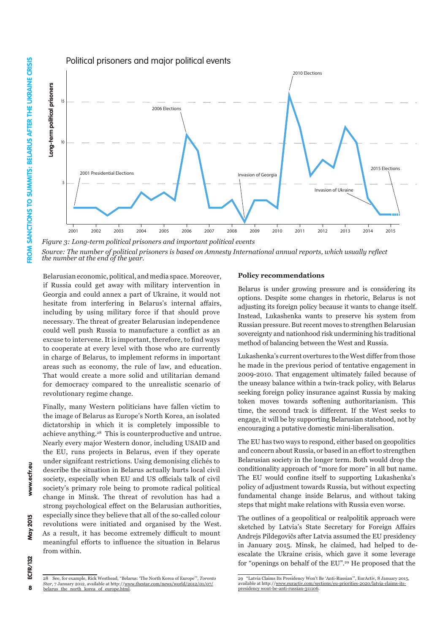

Year *Source: The number of political prisoners is based on Amnesty International annual reports, which usually reflect the number at the end of the year.*

Belarusian economic, political, and media space. Moreover, if Russia could get away with military intervention in Georgia and could annex a part of Ukraine, it would not hesitate from interfering in Belarus's internal affairs, including by using military force if that should prove necessary. The threat of greater Belarusian independence could well push Russia to manufacture a conflict as an excuse to intervene. It is important, therefore, to find ways to cooperate at every level with those who are currently in charge of Belarus, to implement reforms in important areas such as economy, the rule of law, and education. That would create a more solid and utilitarian demand for democracy compared to the unrealistic scenario of revolutionary regime change.

Finally, many Western politicians have fallen victim to the image of Belarus as Europe's North Korea, an isolated dictatorship in which it is completely impossible to achieve anything.28 This is counterproductive and untrue. Nearly every major Western donor, including USAID and the EU, runs projects in Belarus, even if they operate under signifcant restrictions. Using demonising clichés to describe the situation in Belarus actually hurts local civil society, especially when EU and US officials talk of civil society's primary role being to promote radical political change in Minsk. The threat of revolution has had a strong psychological effect on the Belarusian authorities, especially since they believe that all of the so-called colour revolutions were initiated and organised by the West. As a result, it has become extremely difficult to mount meaningful efforts to influence the situation in Belarus from within.

#### **Policy recommendations**

Belarus is under growing pressure and is considering its options. Despite some changes in rhetoric, Belarus is not adjusting its foreign policy because it wants to change itself. Instead, Lukashenka wants to preserve his system from Russian pressure. But recent moves to strengthen Belarusian sovereignty and nationhood risk undermining his traditional method of balancing between the West and Russia.

Lukashenka's current overtures to the West differ from those he made in the previous period of tentative engagement in 2009-2010. That engagement ultimately failed because of the uneasy balance within a twin-track policy, with Belarus seeking foreign policy insurance against Russia by making token moves towards softening authoritarianism. This time, the second track is different. If the West seeks to engage, it will be by supporting Belarusian statehood, not by encouraging a putative domestic mini-liberalisation.

The EU has two ways to respond, either based on geopolitics and concern about Russia, or based in an effort to strengthen Belarusian society in the longer term. Both would drop the conditionality approach of "more for more" in all but name. The EU would confine itself to supporting Lukashenka's policy of adjustment towards Russia, but without expecting fundamental change inside Belarus, and without taking steps that might make relations with Russia even worse.

The outlines of a geopolitical or realpolitik approach were sketched by Latvia's State Secretary for Foreign Affairs Andrejs Pildegovičs after Latvia assumed the EU presidency in January 2015. Minsk, he claimed, had helped to deescalate the Ukraine crisis, which gave it some leverage for "openings on behalf of the EU".29 He proposed that the

8

<sup>28</sup> See, for example, Rick Westhead, "Belarus: 'The North Korea of Europe'", *Toronto Star*, 7 January 2012, available at http://[www.thestar.com/news/world/2012/01/07/](http://www.thestar.com/news/world/2012/01/07/belarus_the_north_korea_of_europe.html) [belarus\\_the\\_north\\_korea\\_of\\_europe.html](http://www.thestar.com/news/world/2012/01/07/belarus_the_north_korea_of_europe.html).

<sup>29 &</sup>quot;Latvia Claims Its Presidency Won't Be 'Anti-Russian'", EurActiv, 8 January 2015, available at http://[www.euractiv.com/sections/eu-priorities-2020/latvia-claims-its-](http://www.euractiv.com/sections/eu-priorities-2020/latvia-claims-its-presidency-wont-be-anti-russian-311106)[presidency wont-be-anti-russian-311106](http://www.euractiv.com/sections/eu-priorities-2020/latvia-claims-its-presidency-wont-be-anti-russian-311106).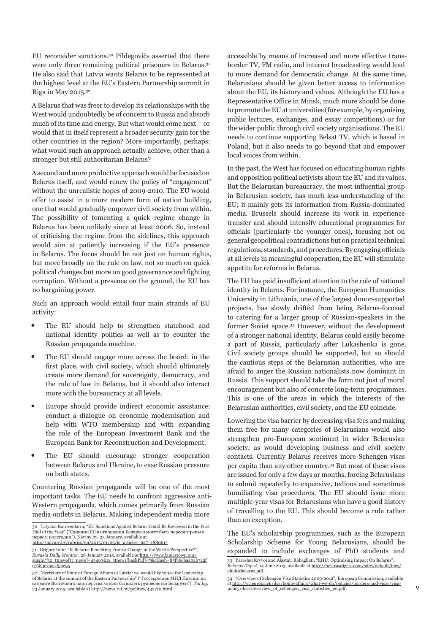EU reconsider sanctions.30 Pildegovičs asserted that there were only three remaining political prisoners in Belarus.<sup>31</sup> He also said that Latvia wants Belarus to be represented at the highest level at the EU's Eastern Partnership summit in Riga in May 2015.32

A Belarus that was freer to develop its relationships with the West would undoubtedly be of concern to Russia and absorb much of its time and energy. But what would come next – or would that in itself represent a broader security gain for the other countries in the region? More importantly, perhaps: what would such an approach actually achieve, other than a stronger but still authoritarian Belarus?

A second and more productive approach would be focused on Belarus itself, and would renew the policy of "engagement" without the unrealistic hopes of 2009-2010. The EU would offer to assist in a more modern form of nation building, one that would gradually empower civil society from within. The possibility of fomenting a quick regime change in Belarus has been unlikely since at least 2006. So, instead of criticising the regime from the sidelines, this approach would aim at patiently increasing if the EU's presence in Belarus. The focus should be not just on human rights, but more broadly on the rule on law, not so much on quick political changes but more on good governance and fighting corruption. Without a presence on the ground, the EU has no bargaining power.

Such an approach would entail four main strands of EU activity:

- The EU should help to strengthen statehood and national identity politics as well as to counter the Russian propaganda machine.
- The EU should engage more across the board: in the first place, with civil society, which should ultimately create more demand for sovereignty, democracy, and the rule of law in Belarus, but it should also interact more with the bureaucracy at all levels.
- Europe should provide indirect economic assistance: conduct a dialogue on economic modernisation and help with WTO membership and with expanding the role of the European Investment Bank and the European Bank for Reconstruction and Development.
- The EU should encourage stronger cooperation between Belarus and Ukraine, to ease Russian pressure on both states.

Countering Russian propaganda will be one of the most important tasks. The EU needs to confront aggressive anti-Western propaganda, which comes primarily from Russian media outlets in Belarus. Making independent media more

[http://naviny.by/rubrics/eu/2015/01/23/ic\\_articles\\_627\\_188061/](http://naviny.by/rubrics/eu/2015/01/23/ic_articles_627_188061/).

accessible by means of increased and more effective transborder TV, FM radio, and internet broadcasting would lead to more demand for democratic change. At the same time, Belarusians should be given better access to information about the EU, its history and values. Although the EU has a Representative Office in Minsk, much more should be done to promote the EU at universities (for example, by organising public lectures, exchanges, and essay competitions) or for the wider public through civil society organisations. The EU needs to continue supporting Belsat TV, which is based in Poland, but it also needs to go beyond that and empower local voices from within.

In the past, the West has focused on educating human rights and opposition political activists about the EU and its values. But the Belarusian bureaucracy, the most influential group in Belarusian society, has much less understanding of the EU; it mainly gets its information from Russia-dominated media. Brussels should increase its work in experience transfer and should intensify educational programmes for officials (particularly the younger ones), focusing not on general geopolitical contradictions but on practical technical regulations, standards, and procedures. By engaging officials at all levels in meaningful cooperation, the EU will stimulate appetite for reforms in Belarus.

The EU has paid insufficient attention to the role of national identity in Belarus. For instance, the European Humanities University in Lithuania, one of the largest donor-supported projects, has slowly drifted from being Belarus-focused to catering for a larger group of Russian-speakers in the former Soviet space.33 However, without the development of a stronger national identity, Belarus could easily become a part of Russia, particularly after Lukashenka is gone. Civil society groups should be supported, but so should the cautious steps of the Belarusian authorities, who are afraid to anger the Russian nationalists now dominant in Russia. This support should take the form not just of moral encouragement but also of concrete long-term programmes. This is one of the areas in which the interests of the Belarusian authorities, civil society, and the EU coincide.

Lowering the visa barrier by decreasing visa fees and making them free for many categories of Belarusians would also strengthen pro-European sentiment in wider Belarusian society, as would developing business and civil society contacts. Currently Belarus receives more Schengen visas per capita than any other country.34 But most of these visas are issued for only a few days or months, forcing Belarusians to submit repeatedly to expensive, tedious and sometimes humiliating visa procedures. The EU should issue more multiple-year visas for Belarusians who have a good history of travelling to the EU. This should become a rule rather than an exception.

The EU's scholarship programmes, such as the European Scholarship Scheme for Young Belarusians, should be expanded to include exchanges of PhD students and

<sup>30</sup> Tatyana Korovenkova, "EU Sanctions Against Belarus Could Be Reviewed in the First Half of the Year" ("Санкции ЕС в отношении Беларуси могут быть пересмотрены в первом полугодии"), Naviny.by, 23 January, available at

<sup>31</sup> Grigory Ioffe, "Is Belarus Benefiting From a Change in the West's Perspective?", *Eurasia Daily Monitor*, 28 January 2015, available at [http://www.jamestown.org/](http://www.jamestown.org/single/?tx_ttnews[tt_news]=43463&tx_ttnews[backPid]=7&cHash=85f36ebaa0ab7a2fcc683e74acd5be95) [single/?tx\\_ttnews\[tt\\_news\]=43463&tx\\_ttnews\[backPid\]=7&cHash=85f36ebaa0ab7a2f](http://www.jamestown.org/single/?tx_ttnews[tt_news]=43463&tx_ttnews[backPid]=7&cHash=85f36ebaa0ab7a2fcc683e74acd5be95) [cc683e74acd5be95](http://www.jamestown.org/single/?tx_ttnews[tt_news]=43463&tx_ttnews[backPid]=7&cHash=85f36ebaa0ab7a2fcc683e74acd5be95).

<sup>32 &</sup>quot;Secretary of State of Foreign Affairs of Latvia: we would like to see the leadership of Belarus at the summit of the Eastern Partnership" ("Госсекретарь МИД Латвии: на саммите Восточного партнерства хотели бы видеть руководство Беларуси"), *Tut.by*, 23 January 2015, available at [http://news.tut.by/politics/432710.html.](http://news.tut.by/politics/432710.html)

<sup>33</sup> Yaraslau Kryvoi and Alastair Rabagliati, "EHU: Optimising Impact On Belarus", *Belarus Digest*, 14 June 2013, available at [http://belarusdigest.com/sites/default/files/](http://belarusdigest.com/sites/default/files/ehuforbelarus.pdf) [ehuforbelarus.pdf.](http://belarusdigest.com/sites/default/files/ehuforbelarus.pdf)

<sup>34 &</sup>quot;Overview of Schengen Visa Statistics 2009-2012", European Commission, available at [http://ec.europa.eu/dgs/home-affairs/what-we-do/policies/borders-and-visas/visa](http://ec.europa.eu/dgs/home-affairs/what-we-do/policies/borders-and-visas/visa-policy/docs/overview_of_schengen_visa_statistics_en.pdf)[policy/docs/overview\\_of\\_schengen\\_visa\\_statistics\\_en.pdf](http://ec.europa.eu/dgs/home-affairs/what-we-do/policies/borders-and-visas/visa-policy/docs/overview_of_schengen_visa_statistics_en.pdf).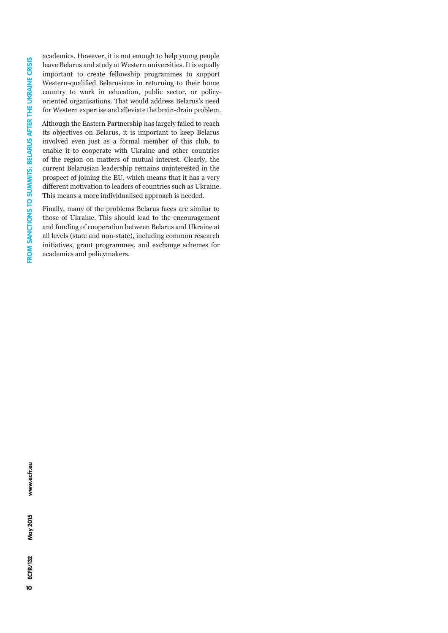academics. However, it is not enough to help young people leave Belarus and study at Western universities. It is equally important to create fellowship programmes to support Western-qualified Belarusians in returning to their home country to work in education, public sector, or policyoriented organisations. That would address Belarus's need for Western expertise and alleviate the brain-drain problem.

Although the Eastern Partnership has largely failed to reach its objectives on Belarus, it is important to keep Belarus involved even just as a formal member of this club, to enable it to cooperate with Ukraine and other countries of the region on matters of mutual interest. Clearly, the current Belarusian leadership remains uninterested in the prospect of joining the EU, which means that it has a very different motivation to leaders of countries such as Ukraine. This means a more individualised approach is needed.

Finally, many of the problems Belarus faces are similar to those of Ukraine. This should lead to the encouragement and funding of cooperation between Belarus and Ukraine at all levels (state and non-state), including common research initiatives, grant programmes, and exchange schemes for academics and policymakers.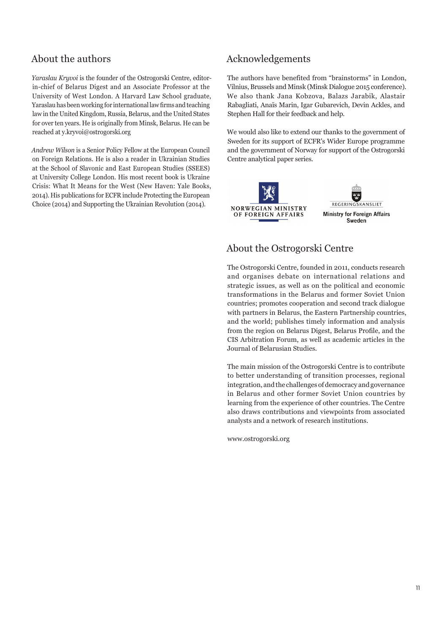## About the authors

*Yaraslau Kryvoi* is the founder of the Ostrogorski Centre, editorin-chief of Belarus Digest and an Associate Professor at the University of West London. A Harvard Law School graduate, Yaraslau has been working for international law firms and teaching law in the United Kingdom, Russia, Belarus, and the United States for over ten years. He is originally from Minsk, Belarus. He can be reached at y.kryvoi@ostrogorski.org

*Andrew Wilson* is a Senior Policy Fellow at the European Council on Foreign Relations. He is also a reader in Ukrainian Studies at the School of Slavonic and East European Studies (SSEES) at University College London. His most recent book is Ukraine Crisis: What It Means for the West (New Haven: Yale Books, 2014). His publications for ECFR include Protecting the European Choice (2014) and Supporting the Ukrainian Revolution (2014).

## Acknowledgements

The authors have benefited from "brainstorms" in London, Vilnius, Brussels and Minsk (Minsk Dialogue 2015 conference). We also thank Jana Kobzova, Balazs Jarabik, Alastair Rabagliati, Anaïs Marin, Igar Gubarevich, Devin Ackles, and Stephen Hall for their feedback and help.

We would also like to extend our thanks to the government of Sweden for its support of ECFR's Wider Europe programme and the government of Norway for support of the Ostrogorski Centre analytical paper series.



## About the Ostrogorski Centre

The Ostrogorski Centre, founded in 2011, conducts research and organises debate on international relations and strategic issues, as well as on the political and economic transformations in the Belarus and former Soviet Union countries; promotes cooperation and second track dialogue with partners in Belarus, the Eastern Partnership countries, and the world; publishes timely information and analysis from the region on Belarus Digest, Belarus Profile, and the CIS Arbitration Forum, as well as academic articles in the Journal of Belarusian Studies.

The main mission of the Ostrogorski Centre is to contribute to better understanding of transition processes, regional integration, and the challenges of democracy and governance in Belarus and other former Soviet Union countries by learning from the experience of other countries. The Centre also draws contributions and viewpoints from associated analysts and a network of research institutions.

www.ostrogorski.org